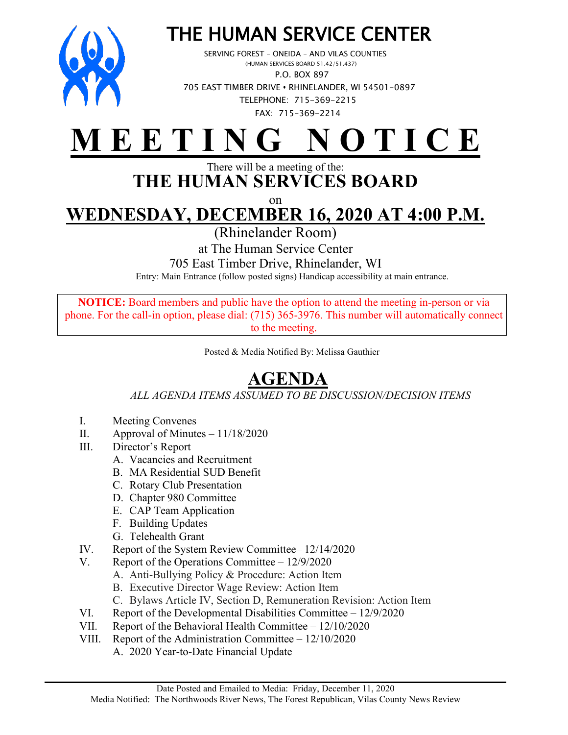

## THE HUMAN SERVICE CENTER<br>SERVING FOREST – ONEIDA – AND VILAS COUNTIES<br>(HUMAN SERVICES BOARD 51.42/51.437)

 P.O. BOX 897 705 EAST TIMBER DRIVE **•** RHINELANDER, WI 54501-0897 TELEPHONE: 715-369-2215 FAX: 715-369-2214

## **M E E T I N G N O T I C E**

## There will be a meeting of the: **THE HUMAN SERVICES BOARD**

on

**WEDNESDAY, DECEMBER 16, 2020 AT 4:00 P.M.**

(Rhinelander Room)

at The Human Service Center

705 East Timber Drive, Rhinelander, WI

Entry: Main Entrance (follow posted signs) Handicap accessibility at main entrance.

**NOTICE:** Board members and public have the option to attend the meeting in-person or via phone. For the call-in option, please dial: (715) 365-3976. This number will automatically connect to the meeting.

Posted & Media Notified By: Melissa Gauthier

## **AGENDA**

*ALL AGENDA ITEMS ASSUMED TO BE DISCUSSION/DECISION ITEMS*

- I. Meeting Convenes
- II. Approval of Minutes  $-11/18/2020$
- III. Director's Report
	- A. Vacancies and Recruitment
	- B. MA Residential SUD Benefit
	- C. Rotary Club Presentation
	- D. Chapter 980 Committee
	- E. CAP Team Application
	- F. Building Updates
	- G. Telehealth Grant
- IV. Report of the System Review Committee– 12/14/2020
- V. Report of the Operations Committee 12/9/2020
	- A. Anti-Bullying Policy & Procedure: Action Item
	- B. Executive Director Wage Review: Action Item
	- C. Bylaws Article IV, Section D, Remuneration Revision: Action Item
- VI. Report of the Developmental Disabilities Committee 12/9/2020
- VII. Report of the Behavioral Health Committee 12/10/2020
- VIII. Report of the Administration Committee 12/10/2020
	- A. 2020 Year-to-Date Financial Update